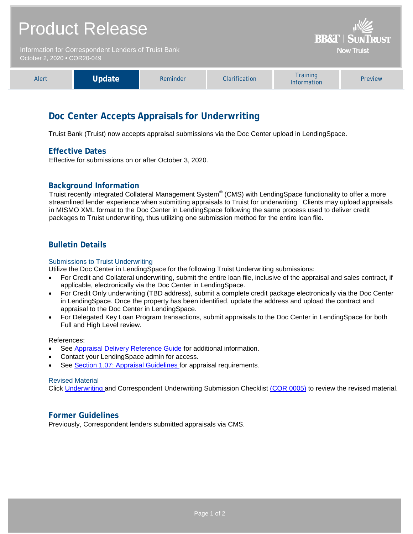| <b>Product Release</b>                                                              |        |          |               | <b>BB&amp;T   SUNTRUST</b><br><b>Now Truist</b> |         |
|-------------------------------------------------------------------------------------|--------|----------|---------------|-------------------------------------------------|---------|
| Information for Correspondent Lenders of Truist Bank<br>October 2, 2020 • COR20-049 |        |          |               |                                                 |         |
| Alert                                                                               | Update | Reminder | Clarification | <b>Training</b><br>Information                  | Preview |

# **Doc Center Accepts Appraisals for Underwriting**

Truist Bank (Truist) now accepts appraisal submissions via the Doc Center upload in LendingSpace.

## **Effective Dates**

Effective for submissions on or after October 3, 2020.

## **Background Information**

Truist recently integrated Collateral Management System® (CMS) with LendingSpace functionality to offer a more streamlined lender experience when submitting appraisals to Truist for underwriting. Clients may upload appraisals in MISMO XML format to the Doc Center in LendingSpace following the same process used to deliver credit packages to Truist underwriting, thus utilizing one submission method for the entire loan file.

## **Bulletin Details**

#### Submissions to Truist Underwriting

Utilize the Doc Center in LendingSpace for the following Truist Underwriting submissions:

- For Credit and Collateral underwriting, submit the entire loan file, inclusive of the appraisal and sales contract, if applicable, electronically via the Doc Center in LendingSpace.
- For Credit Only underwriting (TBD address), submit a complete credit package electronically via the Doc Center in LendingSpace. Once the property has been identified, update the address and upload the contract and appraisal to the Doc Center in LendingSpace.
- For Delegated Key Loan Program transactions, submit appraisals to the Doc Center in LendingSpace for both Full and High Level review.

References:

- See [Appraisal Delivery Reference Guide](https://www.truistsellerguide.com/Manual/cor/general/AppraisalDeliveryInstructions.pdf) for additional information.
- Contact your LendingSpace admin for access.
- See [Section 1.07: Appraisal Guidelines f](https://www.truistsellerguide.com/Manual/cor/general/1.07Appraisals.pdf)or appraisal requirements.

#### Revised Material

Click [Underwriting a](https://www.truistsellerguide.com/Manual/cor/general/1.05Underwriting.pdf)nd Correspondent Underwriting Submission Checklist [\(COR 0005\)](http://www.truistsellerguide.com/manual/cor/forms/cor0005.pdf) to review the revised material.

## **Former Guidelines**

Previously, Correspondent lenders submitted appraisals via CMS.